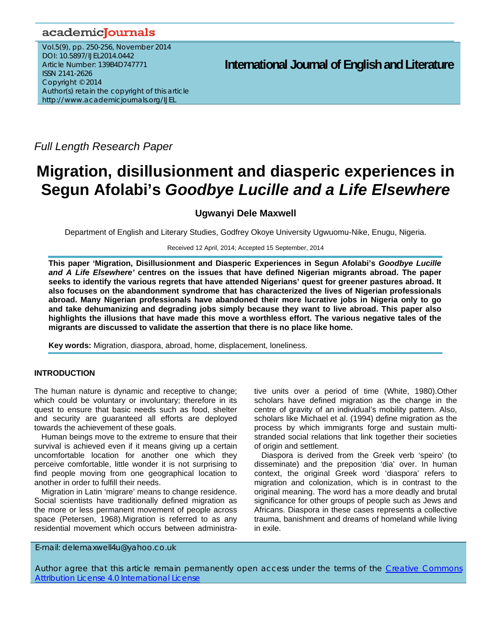# academicJournals

Vol.5(9), pp. 250-256, November 2014 DOI: 10.5897/IJEL2014.0442 Article Number: 139B4D747771 ISSN 2141-2626 Copyright © 2014 Author(s) retain the copyright of this article http://www.academicjournals.org/IJEL

**International Journal of English and Literature** 

*Full Length Research Paper* 

# **Migration, disillusionment and diasperic experiences in Segun Afolabi's** *Goodbye Lucille and a Life Elsewhere*

## **Ugwanyi Dele Maxwell**

Department of English and Literary Studies, Godfrey Okoye University Ugwuomu-Nike, Enugu, Nigeria.

#### Received 12 April, 2014; Accepted 15 September, 2014

**This paper 'Migration, Disillusionment and Diasperic Experiences in Segun Afolabi's** *Goodbye Lucille and A Life Elsewhere'* **centres on the issues that have defined Nigerian migrants abroad. The paper seeks to identify the various regrets that have attended Nigerians' quest for greener pastures abroad. It also focuses on the abandonment syndrome that has characterized the lives of Nigerian professionals abroad. Many Nigerian professionals have abandoned their more lucrative jobs in Nigeria only to go and take dehumanizing and degrading jobs simply because they want to live abroad. This paper also highlights the illusions that have made this move a worthless effort. The various negative tales of the migrants are discussed to validate the assertion that there is no place like home.** 

**Key words:** Migration, diaspora, abroad, home, displacement, loneliness.

#### **INTRODUCTION**

The human nature is dynamic and receptive to change; which could be voluntary or involuntary; therefore in its quest to ensure that basic needs such as food, shelter and security are guaranteed all efforts are deployed towards the achievement of these goals.

Human beings move to the extreme to ensure that their survival is achieved even if it means giving up a certain uncomfortable location for another one which they perceive comfortable, little wonder it is not surprising to find people moving from one geographical location to another in order to fulfill their needs.

Migration in Latin 'migrare' means to change residence. Social scientists have traditionally defined migration as the more or less permanent movement of people across space (Petersen, 1968).Migration is referred to as any residential movement which occurs between administra-

tive units over a period of time (White, 1980).Other scholars have defined migration as the change in the centre of gravity of an individual's mobility pattern. Also, scholars like Michael et al. (1994) define migration as the process by which immigrants forge and sustain multistranded social relations that link together their societies of origin and settlement.

Diaspora is derived from the Greek verb 'speiro' (to disseminate) and the preposition 'dia' over. In human context, the original Greek word 'diaspora' refers to migration and colonization, which is in contrast to the original meaning. The word has a more deadly and brutal significance for other groups of people such as Jews and Africans. Diaspora in these cases represents a collective trauma, banishment and dreams of homeland while living in exile.

E-mail: delemaxwell4u@yahoo.co.uk

Author agree that this article remain permanently open access under the terms of the Creative Commons Attribution License 4.0 International License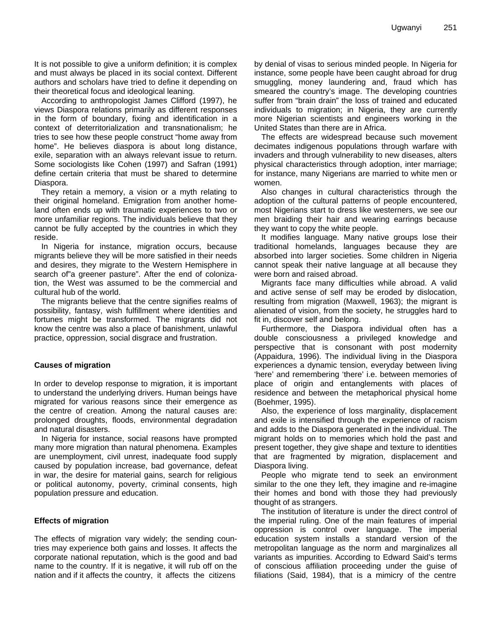It is not possible to give a uniform definition; it is complex and must always be placed in its social context. Different authors and scholars have tried to define it depending on their theoretical focus and ideological leaning.

According to anthropologist James Clifford (1997), he views Diaspora relations primarily as different responses in the form of boundary, fixing and identification in a context of deterritorialization and transnationalism; he tries to see how these people construct "home away from home". He believes diaspora is about long distance, exile, separation with an always relevant issue to return. Some sociologists like Cohen (1997) and Safran (1991) define certain criteria that must be shared to determine Diaspora.

They retain a memory, a vision or a myth relating to their original homeland. Emigration from another homeland often ends up with traumatic experiences to two or more unfamiliar regions. The individuals believe that they cannot be fully accepted by the countries in which they reside.

In Nigeria for instance, migration occurs, because migrants believe they will be more satisfied in their needs and desires, they migrate to the Western Hemisphere in search of"a greener pasture". After the end of colonization, the West was assumed to be the commercial and cultural hub of the world.

The migrants believe that the centre signifies realms of possibility, fantasy, wish fulfillment where identities and fortunes might be transformed. The migrants did not know the centre was also a place of banishment, unlawful practice, oppression, social disgrace and frustration.

#### **Causes of migration**

In order to develop response to migration, it is important to understand the underlying drivers. Human beings have migrated for various reasons since their emergence as the centre of creation. Among the natural causes are: prolonged droughts, floods, environmental degradation and natural disasters.

In Nigeria for instance, social reasons have prompted many more migration than natural phenomena. Examples are unemployment, civil unrest, inadequate food supply caused by population increase, bad governance, defeat in war, the desire for material gains, search for religious or political autonomy, poverty, criminal consents, high population pressure and education.

#### **Effects of migration**

The effects of migration vary widely; the sending countries may experience both gains and losses. It affects the corporate national reputation, which is the good and bad name to the country. If it is negative, it will rub off on the nation and if it affects the country, it affects the citizens

by denial of visas to serious minded people. In Nigeria for instance, some people have been caught abroad for drug smuggling, money laundering and, fraud which has smeared the country's image. The developing countries suffer from "brain drain" the loss of trained and educated individuals to migration; in Nigeria, they are currently more Nigerian scientists and engineers working in the United States than there are in Africa.

The effects are widespread because such movement decimates indigenous populations through warfare with invaders and through vulnerability to new diseases, alters physical characteristics through adoption, inter marriage; for instance, many Nigerians are married to white men or women.

Also changes in cultural characteristics through the adoption of the cultural patterns of people encountered, most Nigerians start to dress like westerners, we see our men braiding their hair and wearing earrings because they want to copy the white people.

It modifies language. Many native groups lose their traditional homelands, languages because they are absorbed into larger societies. Some children in Nigeria cannot speak their native language at all because they were born and raised abroad.

Migrants face many difficulties while abroad. A valid and active sense of self may be eroded by dislocation, resulting from migration (Maxwell, 1963); the migrant is alienated of vision, from the society, he struggles hard to fit in, discover self and belong.

Furthermore, the Diaspora individual often has a double consciousness a privileged knowledge and perspective that is consonant with post modernity (Appaidura, 1996). The individual living in the Diaspora experiences a dynamic tension, everyday between living 'here' and remembering 'there' i.e. between memories of place of origin and entanglements with places of residence and between the metaphorical physical home (Boehmer, 1995).

Also, the experience of loss marginality, displacement and exile is intensified through the experience of racism and adds to the Diaspora generated in the individual. The migrant holds on to memories which hold the past and present together, they give shape and texture to identities that are fragmented by migration, displacement and Diaspora living.

People who migrate tend to seek an environment similar to the one they left, they imagine and re-imagine their homes and bond with those they had previously thought of as strangers.

The institution of literature is under the direct control of the imperial ruling. One of the main features of imperial oppression is control over language. The imperial education system installs a standard version of the metropolitan language as the norm and marginalizes all variants as impurities. According to Edward Said's terms of conscious affiliation proceeding under the guise of filiations (Said, 1984), that is a mimicry of the centre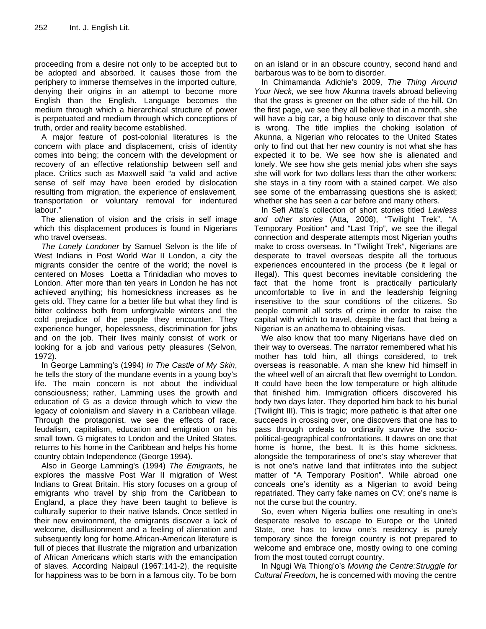proceeding from a desire not only to be accepted but to be adopted and absorbed. It causes those from the periphery to immerse themselves in the imported culture, denying their origins in an attempt to become more English than the English. Language becomes the medium through which a hierarchical structure of power is perpetuated and medium through which conceptions of truth, order and reality become established.

A major feature of post-colonial literatures is the concern with place and displacement, crisis of identity comes into being; the concern with the development or recovery of an effective relationship between self and place. Critics such as Maxwell said "a valid and active sense of self may have been eroded by dislocation resulting from migration, the experience of enslavement, transportation or voluntary removal for indentured labour."

The alienation of vision and the crisis in self image which this displacement produces is found in Nigerians who travel overseas.

*The Lonely Londoner* by Samuel Selvon is the life of West Indians in Post World War II London, a city the migrants consider the centre of the world; the novel is centered on Moses Loetta a Trinidadian who moves to London. After more than ten years in London he has not achieved anything; his homesickness increases as he gets old. They came for a better life but what they find is bitter coldness both from unforgivable winters and the cold prejudice of the people they encounter. They experience hunger, hopelessness, discrimination for jobs and on the job. Their lives mainly consist of work or looking for a job and various petty pleasures (Selvon, 1972).

In George Lamming's (1994) *In The Castle of My Skin*, he tells the story of the mundane events in a young boy's life. The main concern is not about the individual consciousness; rather, Lamming uses the growth and education of G as a device through which to view the legacy of colonialism and slavery in a Caribbean village. Through the protagonist, we see the effects of race, feudalism, capitalism, education and emigration on his small town. G migrates to London and the United States, returns to his home in the Caribbean and helps his home country obtain Independence (George 1994).

Also in George Lamming's (1994) *The Emigrants*, he explores the massive Post War II migration of West Indians to Great Britain. His story focuses on a group of emigrants who travel by ship from the Caribbean to England, a place they have been taught to believe is culturally superior to their native Islands. Once settled in their new environment, the emigrants discover a lack of welcome, disillusionment and a feeling of alienation and subsequently long for home.African-American literature is full of pieces that illustrate the migration and urbanization of African Americans which starts with the emancipation of slaves. According Naipaul (1967:141-2), the requisite for happiness was to be born in a famous city. To be born

on an island or in an obscure country, second hand and barbarous was to be born to disorder.

In Chimamanda Adichie's 2009, *The Thing Around Your Neck,* we see how Akunna travels abroad believing that the grass is greener on the other side of the hill. On the first page, we see they all believe that in a month, she will have a big car, a big house only to discover that she is wrong. The title implies the choking isolation of Akunna, a Nigerian who relocates to the United States only to find out that her new country is not what she has expected it to be. We see how she is alienated and lonely. We see how she gets menial jobs when she says she will work for two dollars less than the other workers; she stays in a tiny room with a stained carpet. We also see some of the embarrassing questions she is asked; whether she has seen a car before and many others.

In Sefi Atta's collection of short stories titled *Lawless and other stories* (Atta, 2008), "Twilight Trek", "A Temporary Position" and "Last Trip", we see the illegal connection and desperate attempts most Nigerian youths make to cross overseas. In "Twilight Trek", Nigerians are desperate to travel overseas despite all the tortuous experiences encountered in the process (be it legal or illegal). This quest becomes inevitable considering the fact that the home front is practically particularly uncomfortable to live in and the leadership feigning insensitive to the sour conditions of the citizens. So people commit all sorts of crime in order to raise the capital with which to travel, despite the fact that being a Nigerian is an anathema to obtaining visas.

We also know that too many Nigerians have died on their way to overseas. The narrator remembered what his mother has told him, all things considered, to trek overseas is reasonable. A man she knew hid himself in the wheel well of an aircraft that flew overnight to London. It could have been the low temperature or high altitude that finished him. Immigration officers discovered his body two days later. They deported him back to his burial (Twilight III). This is tragic; more pathetic is that after one succeeds in crossing over, one discovers that one has to pass through ordeals to ordinarily survive the sociopolitical-geographical confrontations. It dawns on one that home is home, the best. It is this home sickness, alongside the temporariness of one's stay wherever that is not one's native land that infiltrates into the subject matter of "A Temporary Position". While abroad one conceals one's identity as a Nigerian to avoid being repatriated. They carry fake names on CV; one's name is not the curse but the country.

So, even when Nigeria bullies one resulting in one's desperate resolve to escape to Europe or the United State, one has to know one's residency is purely temporary since the foreign country is not prepared to welcome and embrace one, mostly owing to one coming from the most touted corrupt country.

In Ngugi Wa Thiong'o's *Moving the Centre:Struggle for Cultural Freedom*, he is concerned with moving the centre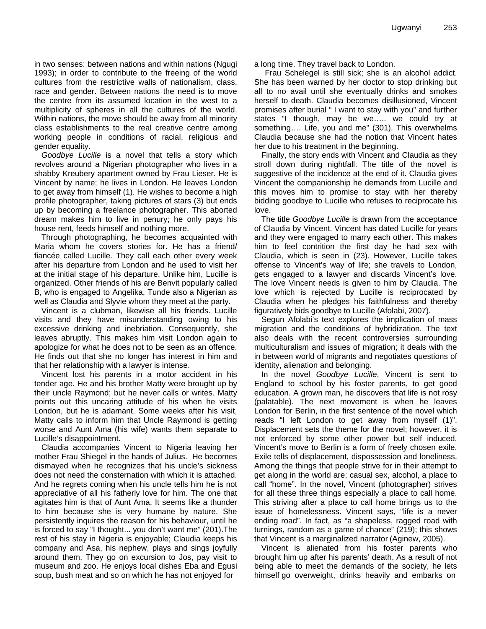in two senses: between nations and within nations (Ngugi 1993); in order to contribute to the freeing of the world cultures from the restrictive walls of nationalism, class, race and gender. Between nations the need is to move the centre from its assumed location in the west to a multiplicity of spheres in all the cultures of the world. Within nations, the move should be away from all minority class establishments to the real creative centre among working people in conditions of racial, religious and gender equality.

*Goodbye Lucille* is a novel that tells a story which revolves around a Nigerian photographer who lives in a shabby Kreubery apartment owned by Frau Lieser. He is Vincent by name; he lives in London. He leaves London to get away from himself (1). He wishes to become a high profile photographer, taking pictures of stars (3) but ends up by becoming a freelance photographer. This aborted dream makes him to live in penury; he only pays his house rent, feeds himself and nothing more.

Through photographing, he becomes acquainted with Maria whom he covers stories for. He has a friend/ fiancée called Lucille. They call each other every week after his departure from London and he used to visit her at the initial stage of his departure. Unlike him, Lucille is organized. Other friends of his are Benvit popularly called B, who is engaged to Angelika, Tunde also a Nigerian as well as Claudia and Slyvie whom they meet at the party.

Vincent is a clubman, likewise all his friends. Lucille visits and they have misunderstanding owing to his excessive drinking and inebriation. Consequently, she leaves abruptly. This makes him visit London again to apologize for what he does not to be seen as an offence. He finds out that she no longer has interest in him and that her relationship with a lawyer is intense.

Vincent lost his parents in a motor accident in his tender age. He and his brother Matty were brought up by their uncle Raymond; but he never calls or writes. Matty points out this uncaring attitude of his when he visits London, but he is adamant. Some weeks after his visit, Matty calls to inform him that Uncle Raymond is getting worse and Aunt Ama (his wife) wants them separate to Lucille's disappointment.

Claudia accompanies Vincent to Nigeria leaving her mother Frau Shiegel in the hands of Julius. He becomes dismayed when he recognizes that his uncle's sickness does not need the consternation with which it is attached. And he regrets coming when his uncle tells him he is not appreciative of all his fatherly love for him. The one that agitates him is that of Aunt Ama. It seems like a thunder to him because she is very humane by nature. She persistently inquires the reason for his behaviour, until he is forced to say "I thought... you don't want me" (201).The rest of his stay in Nigeria is enjoyable; Claudia keeps his company and Asa, his nephew, plays and sings joyfully around them. They go on excursion to Jos, pay visit to museum and zoo. He enjoys local dishes Eba and Egusi soup, bush meat and so on which he has not enjoyed for

a long time. They travel back to London.

Frau Schelegel is still sick; she is an alcohol addict. She has been warned by her doctor to stop drinking but all to no avail until she eventually drinks and smokes herself to death. Claudia becomes disillusioned, Vincent promises after burial " I want to stay with you" and further states "I though, may be we….. we could try at something…. Life, you and me" (301). This overwhelms Claudia because she had the notion that Vincent hates her due to his treatment in the beginning.

Finally, the story ends with Vincent and Claudia as they stroll down during nightfall. The title of the novel is suggestive of the incidence at the end of it. Claudia gives Vincent the companionship he demands from Lucille and this moves him to promise to stay with her thereby bidding goodbye to Lucille who refuses to reciprocate his love.

The title *Goodbye Lucille* is drawn from the acceptance of Claudia by Vincent. Vincent has dated Lucille for years and they were engaged to marry each other. This makes him to feel contrition the first day he had sex with Claudia, which is seen in (23). However, Lucille takes offense to Vincent's way of life; she travels to London, gets engaged to a lawyer and discards Vincent's love. The love Vincent needs is given to him by Claudia. The love which is rejected by Lucille is reciprocated by Claudia when he pledges his faithfulness and thereby figuratively bids goodbye to Lucille (Afolabi, 2007).

Segun Afolabi's text explores the implication of mass migration and the conditions of hybridization. The text also deals with the recent controversies surrounding multiculturalism and issues of migration; it deals with the in between world of migrants and negotiates questions of identity, alienation and belonging.

In the novel *Goodbye Lucille*, Vincent is sent to England to school by his foster parents, to get good education. A grown man, he discovers that life is not rosy (palatable). The next movement is when he leaves London for Berlin, in the first sentence of the novel which reads "I left London to get away from myself (1)". Displacement sets the theme for the novel; however, it is not enforced by some other power but self induced. Vincent's move to Berlin is a form of freely chosen exile. Exile tells of displacement, dispossession and loneliness. Among the things that people strive for in their attempt to get along in the world are; casual sex, alcohol, a place to call "home". In the novel, Vincent (photographer) strives for all these three things especially a place to call home. This striving after a place to call home brings us to the issue of homelessness. Vincent says, "life is a never ending road". In fact, as "a shapeless, ragged road with turnings, random as a game of chance" (219); this shows that Vincent is a marginalized narrator (Aginew, 2005).

Vincent is alienated from his foster parents who brought him up after his parents' death. As a result of not being able to meet the demands of the society, he lets himself go overweight, drinks heavily and embarks on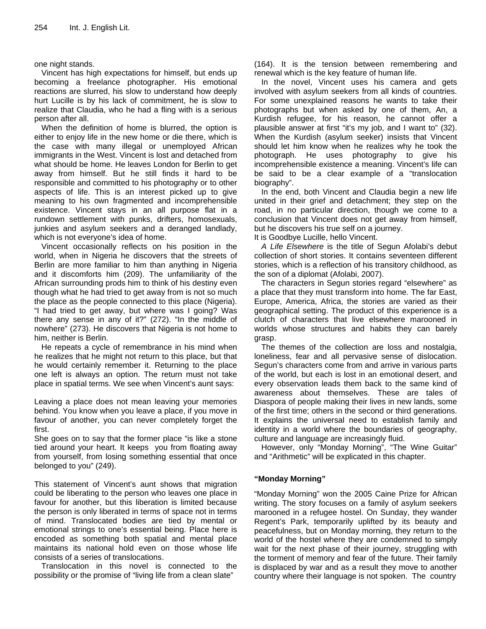one night stands.

Vincent has high expectations for himself, but ends up becoming a freelance photographer. His emotional reactions are slurred, his slow to understand how deeply hurt Lucille is by his lack of commitment, he is slow to realize that Claudia, who he had a fling with is a serious person after all.

When the definition of home is blurred, the option is either to enjoy life in the new home or die there, which is the case with many illegal or unemployed African immigrants in the West. Vincent is lost and detached from what should be home. He leaves London for Berlin to get away from himself. But he still finds it hard to be responsible and committed to his photography or to other aspects of life. This is an interest picked up to give meaning to his own fragmented and incomprehensible existence. Vincent stays in an all purpose flat in a rundown settlement with punks, drifters, homosexuals, junkies and asylum seekers and a deranged landlady, which is not everyone's idea of home.

Vincent occasionally reflects on his position in the world, when in Nigeria he discovers that the streets of Berlin are more familiar to him than anything in Nigeria and it discomforts him (209). The unfamiliarity of the African surrounding prods him to think of his destiny even though what he had tried to get away from is not so much the place as the people connected to this place (Nigeria). "I had tried to get away, but where was I going? Was there any sense in any of it?" (272). "In the middle of nowhere" (273). He discovers that Nigeria is not home to him, neither is Berlin.

He repeats a cycle of remembrance in his mind when he realizes that he might not return to this place, but that he would certainly remember it. Returning to the place one left is always an option. The return must not take place in spatial terms. We see when Vincent's aunt says:

Leaving a place does not mean leaving your memories behind. You know when you leave a place, if you move in favour of another, you can never completely forget the first.

She goes on to say that the former place "is like a stone tied around your heart. It keeps you from floating away from yourself, from losing something essential that once belonged to you" (249).

This statement of Vincent's aunt shows that migration could be liberating to the person who leaves one place in favour for another, but this liberation is limited because the person is only liberated in terms of space not in terms of mind. Translocated bodies are tied by mental or emotional strings to one's essential being. Place here is encoded as something both spatial and mental place maintains its national hold even on those whose life consists of a series of translocations.

Translocation in this novel is connected to the possibility or the promise of "living life from a clean slate"

(164). It is the tension between remembering and renewal which is the key feature of human life.

In the novel, Vincent uses his camera and gets involved with asylum seekers from all kinds of countries. For some unexplained reasons he wants to take their photographs but when asked by one of them, An, a Kurdish refugee, for his reason, he cannot offer a plausible answer at first "it's my job, and I want to" (32). When the Kurdish (asylum seeker) insists that Vincent should let him know when he realizes why he took the photograph. He uses photography to give his incomprehensible existence a meaning. Vincent's life can be said to be a clear example of a "translocation biography".

In the end, both Vincent and Claudia begin a new life united in their grief and detachment; they step on the road, in no particular direction, though we come to a conclusion that Vincent does not get away from himself, but he discovers his true self on a journey.

It is Goodbye Lucille, hello Vincent.

*A Life Elsewhere* is the title of Segun Afolabi's debut collection of short stories. It contains seventeen different stories, which is a reflection of his transitory childhood, as the son of a diplomat (Afolabi, 2007).

The characters in Segun stories regard "elsewhere" as a place that they must transform into home. The far East, Europe, America, Africa, the stories are varied as their geographical setting. The product of this experience is a clutch of characters that live elsewhere marooned in worlds whose structures and habits they can barely grasp.

The themes of the collection are loss and nostalgia, loneliness, fear and all pervasive sense of dislocation. Segun's characters come from and arrive in various parts of the world, but each is lost in an emotional desert, and every observation leads them back to the same kind of awareness about themselves. These are tales of Diaspora of people making their lives in new lands, some of the first time; others in the second or third generations. It explains the universal need to establish family and identity in a world where the boundaries of geography, culture and language are increasingly fluid.

However, only "Monday Morning", "The Wine Guitar" and "Arithmetic" will be explicated in this chapter.

### **"Monday Morning"**

"Monday Morning" won the 2005 Caine Prize for African writing. The story focuses on a family of asylum seekers marooned in a refugee hostel. On Sunday, they wander Regent's Park, temporarily uplifted by its beauty and peacefulness, but on Monday morning, they return to the world of the hostel where they are condemned to simply wait for the next phase of their journey, struggling with the torment of memory and fear of the future. Their family is displaced by war and as a result they move to another country where their language is not spoken. The country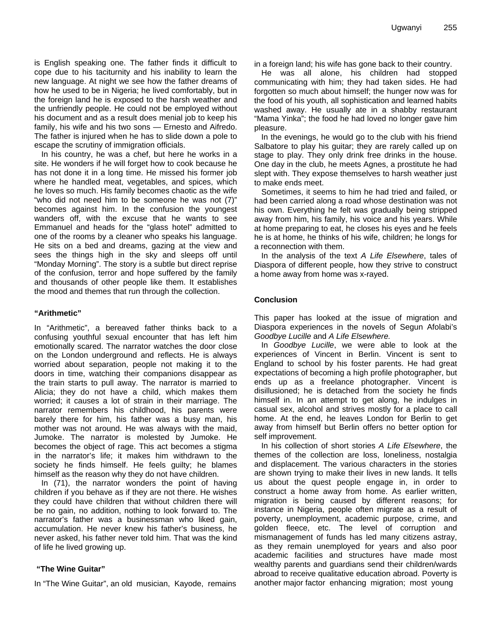is English speaking one. The father finds it difficult to cope due to his taciturnity and his inability to learn the new language. At night we see how the father dreams of how he used to be in Nigeria; he lived comfortably, but in the foreign land he is exposed to the harsh weather and the unfriendly people. He could not be employed without his document and as a result does menial job to keep his family, his wife and his two sons — Ernesto and Aifredo. The father is injured when he has to slide down a pole to escape the scrutiny of immigration officials.

In his country, he was a chef, but here he works in a site. He wonders if he will forget how to cook because he has not done it in a long time. He missed his former job where he handled meat, vegetables, and spices, which he loves so much. His family becomes chaotic as the wife "who did not need him to be someone he was not (7)" becomes against him. In the confusion the youngest wanders off, with the excuse that he wants to see Emmanuel and heads for the "glass hotel" admitted to one of the rooms by a cleaner who speaks his language. He sits on a bed and dreams, gazing at the view and sees the things high in the sky and sleeps off until "Monday Morning". The story is a subtle but direct reprise of the confusion, terror and hope suffered by the family and thousands of other people like them. It establishes the mood and themes that run through the collection.

#### **"Arithmetic"**

In "Arithmetic", a bereaved father thinks back to a confusing youthful sexual encounter that has left him emotionally scared. The narrator watches the door close on the London underground and reflects. He is always worried about separation, people not making it to the doors in time, watching their companions disappear as the train starts to pull away. The narrator is married to Alicia; they do not have a child, which makes them worried; it causes a lot of strain in their marriage. The narrator remembers his childhood, his parents were barely there for him, his father was a busy man, his mother was not around. He was always with the maid, Jumoke. The narrator is molested by Jumoke. He becomes the object of rage. This act becomes a stigma in the narrator's life; it makes him withdrawn to the society he finds himself. He feels guilty; he blames himself as the reason why they do not have children.

In (71), the narrator wonders the point of having children if you behave as if they are not there. He wishes they could have children that without children there will be no gain, no addition, nothing to look forward to. The narrator's father was a businessman who liked gain, accumulation. He never knew his father's business, he never asked, his father never told him. That was the kind of life he lived growing up.

#### **"The Wine Guitar"**

In "The Wine Guitar", an old musician, Kayode, remains

in a foreign land; his wife has gone back to their country.

He was all alone, his children had stopped communicating with him; they had taken sides. He had forgotten so much about himself; the hunger now was for the food of his youth, all sophistication and learned habits washed away. He usually ate in a shabby restaurant "Mama Yinka"; the food he had loved no longer gave him pleasure.

In the evenings, he would go to the club with his friend Salbatore to play his guitar; they are rarely called up on stage to play. They only drink free drinks in the house. One day in the club, he meets Agnes, a prostitute he had slept with. They expose themselves to harsh weather just to make ends meet.

Sometimes, it seems to him he had tried and failed, or had been carried along a road whose destination was not his own. Everything he felt was gradually being stripped away from him, his family, his voice and his years. While at home preparing to eat, he closes his eyes and he feels he is at home, he thinks of his wife, children; he longs for a reconnection with them.

In the analysis of the text *A Life Elsewhere*, tales of Diaspora of different people, how they strive to construct a home away from home was x-rayed.

#### **Conclusion**

This paper has looked at the issue of migration and Diaspora experiences in the novels of Segun Afolabi's *Goodbye Lucille* and *A Life Elsewhere.* 

In *Goodbye Lucille*, we were able to look at the experiences of Vincent in Berlin. Vincent is sent to England to school by his foster parents. He had great expectations of becoming a high profile photographer, but ends up as a freelance photographer. Vincent is disillusioned; he is detached from the society he finds himself in. In an attempt to get along, he indulges in casual sex, alcohol and strives mostly for a place to call home. At the end, he leaves London for Berlin to get away from himself but Berlin offers no better option for self improvement.

In his collection of short stories *A Life Elsewhere*, the themes of the collection are loss, loneliness, nostalgia and displacement. The various characters in the stories are shown trying to make their lives in new lands. It tells us about the quest people engage in, in order to construct a home away from home. As earlier written, migration is being caused by different reasons; for instance in Nigeria, people often migrate as a result of poverty, unemployment, academic purpose, crime, and golden fleece, etc. The level of corruption and mismanagement of funds has led many citizens astray, as they remain unemployed for years and also poor academic facilities and structures have made most wealthy parents and guardians send their children/wards abroad to receive qualitative education abroad. Poverty is another major factor enhancing migration; most young